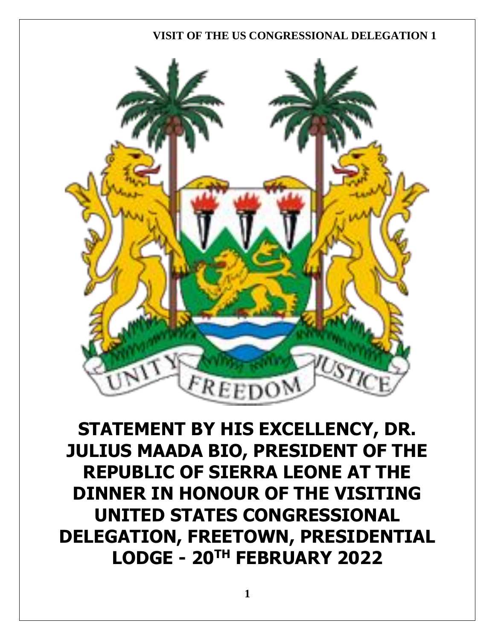

**STATEMENT BY HIS EXCELLENCY, DR. JULIUS MAADA BIO, PRESIDENT OF THE REPUBLIC OF SIERRA LEONE AT THE DINNER IN HONOUR OF THE VISITING UNITED STATES CONGRESSIONAL DELEGATION, FREETOWN, PRESIDENTIAL LODGE - 20TH FEBRUARY 2022**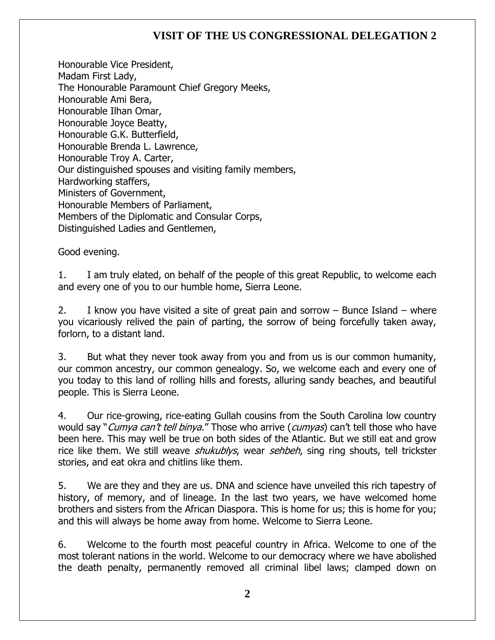Honourable Vice President, Madam First Lady, The Honourable Paramount Chief Gregory Meeks, Honourable Ami Bera, Honourable Ilhan Omar, Honourable Joyce Beatty, Honourable G.K. Butterfield, Honourable Brenda L. Lawrence, Honourable Troy A. Carter, Our distinguished spouses and visiting family members, Hardworking staffers, Ministers of Government, Honourable Members of Parliament, Members of the Diplomatic and Consular Corps, Distinguished Ladies and Gentlemen,

Good evening.

1. I am truly elated, on behalf of the people of this great Republic, to welcome each and every one of you to our humble home, Sierra Leone.

2. I know you have visited a site of great pain and sorrow – Bunce Island – where you vicariously relived the pain of parting, the sorrow of being forcefully taken away, forlorn, to a distant land.

3. But what they never took away from you and from us is our common humanity, our common ancestry, our common genealogy. So, we welcome each and every one of you today to this land of rolling hills and forests, alluring sandy beaches, and beautiful people. This is Sierra Leone.

4. Our rice-growing, rice-eating Gullah cousins from the South Carolina low country would say "*Cumya can't tell binya*." Those who arrive (*cumyas*) can't tell those who have been here. This may well be true on both sides of the Atlantic. But we still eat and grow rice like them. We still weave *shukublys*, wear *sehbeh*, sing ring shouts, tell trickster stories, and eat okra and chitlins like them.

5. We are they and they are us. DNA and science have unveiled this rich tapestry of history, of memory, and of lineage. In the last two years, we have welcomed home brothers and sisters from the African Diaspora. This is home for us; this is home for you; and this will always be home away from home. Welcome to Sierra Leone.

6. Welcome to the fourth most peaceful country in Africa. Welcome to one of the most tolerant nations in the world. Welcome to our democracy where we have abolished the death penalty, permanently removed all criminal libel laws; clamped down on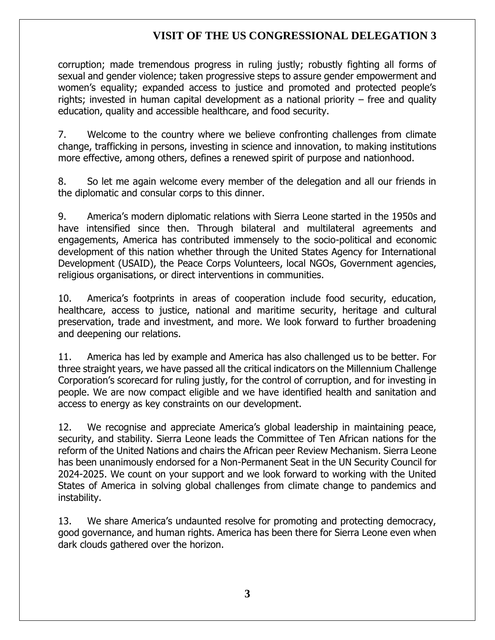corruption; made tremendous progress in ruling justly; robustly fighting all forms of sexual and gender violence; taken progressive steps to assure gender empowerment and women's equality; expanded access to justice and promoted and protected people's rights; invested in human capital development as a national priority – free and quality education, quality and accessible healthcare, and food security.

7. Welcome to the country where we believe confronting challenges from climate change, trafficking in persons, investing in science and innovation, to making institutions more effective, among others, defines a renewed spirit of purpose and nationhood.

8. So let me again welcome every member of the delegation and all our friends in the diplomatic and consular corps to this dinner.

9. America's modern diplomatic relations with Sierra Leone started in the 1950s and have intensified since then. Through bilateral and multilateral agreements and engagements, America has contributed immensely to the socio-political and economic development of this nation whether through the United States Agency for International Development (USAID), the Peace Corps Volunteers, local NGOs, Government agencies, religious organisations, or direct interventions in communities.

10. America's footprints in areas of cooperation include food security, education, healthcare, access to justice, national and maritime security, heritage and cultural preservation, trade and investment, and more. We look forward to further broadening and deepening our relations.

11. America has led by example and America has also challenged us to be better. For three straight years, we have passed all the critical indicators on the Millennium Challenge Corporation's scorecard for ruling justly, for the control of corruption, and for investing in people. We are now compact eligible and we have identified health and sanitation and access to energy as key constraints on our development.

12. We recognise and appreciate America's global leadership in maintaining peace, security, and stability. Sierra Leone leads the Committee of Ten African nations for the reform of the United Nations and chairs the African peer Review Mechanism. Sierra Leone has been unanimously endorsed for a Non-Permanent Seat in the UN Security Council for 2024-2025. We count on your support and we look forward to working with the United States of America in solving global challenges from climate change to pandemics and instability.

13. We share America's undaunted resolve for promoting and protecting democracy, good governance, and human rights. America has been there for Sierra Leone even when dark clouds gathered over the horizon.